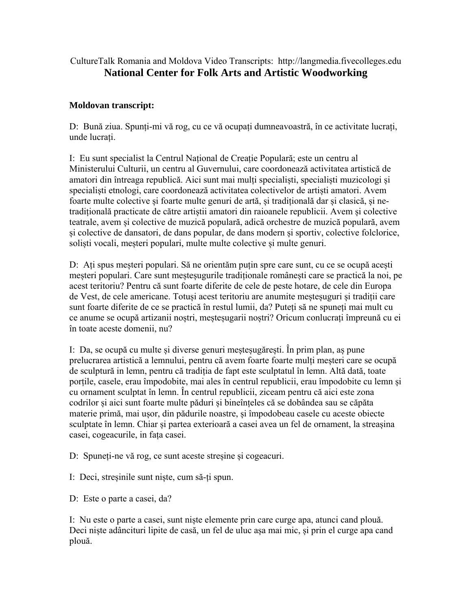CultureTalk Romania and Moldova Video Transcripts: http://langmedia.fivecolleges.edu **National Center for Folk Arts and Artistic Woodworking** 

## **Moldovan transcript:**

D: Bună ziua. Spunți-mi vă rog, cu ce vă ocupați dumneavoastră, în ce activitate lucrați, unde lucrați.

I: Eu sunt specialist la Centrul Național de Creație Populară; este un centru al Ministerului Culturii, un centru al Guvernului, care coordonează activitatea artistică de amatori din întreaga republică. Aici sunt mai mulți specialiști, specialiști muzicologi și specialiști etnologi, care coordonează activitatea colectivelor de artiști amatori. Avem foarte multe colective și foarte multe genuri de artă, și tradițională dar și clasică, și netradițională practicate de către artiștii amatori din raioanele republicii. Avem și colective teatrale, avem și colective de muzică populară, adică orchestre de muzică populară, avem și colective de dansatori, de dans popular, de dans modern și sportiv, colective folclorice, soliști vocali, meșteri populari, multe multe colective și multe genuri.

D: Ați spus meșteri populari. Să ne orientăm puțin spre care sunt, cu ce se ocupă acești meșteri populari. Care sunt meșteșugurile tradiționale românești care se practică la noi, pe acest teritoriu? Pentru că sunt foarte diferite de cele de peste hotare, de cele din Europa de Vest, de cele americane. Totuși acest teritoriu are anumite meșteșuguri și tradiții care sunt foarte diferite de ce se practică în restul lumii, da? Puteți să ne spuneți mai mult cu ce anume se ocupă artizanii noștri, meșteșugarii noștri? Oricum conlucrați împreună cu ei în toate aceste domenii, nu?

I: Da, se ocupă cu multe și diverse genuri meșteșugărești. În prim plan, aș pune prelucrarea artistică a lemnului, pentru că avem foarte foarte mulți meșteri care se ocupă de sculptură in lemn, pentru că tradiția de fapt este sculptatul în lemn. Altă dată, toate porțile, casele, erau împodobite, mai ales în centrul republicii, erau împodobite cu lemn și cu ornament sculptat în lemn. În centrul republicii, ziceam pentru că aici este zona codrilor și aici sunt foarte multe păduri și bineînțeles că se dobândea sau se căpăta materie primă, mai ușor, din pădurile noastre, și împodobeau casele cu aceste obiecte sculptate în lemn. Chiar și partea exterioară a casei avea un fel de ornament, la streașina casei, cogeacurile, in fața casei.

D: Spuneți-ne vă rog, ce sunt aceste streșine și cogeacuri.

I: Deci, streșinile sunt niște, cum să-ți spun.

D: Este o parte a casei, da?

I: Nu este o parte a casei, sunt niște elemente prin care curge apa, atunci cand plouă. Deci niște adâncituri lipite de casă, un fel de uluc așa mai mic, și prin el curge apa cand plouă.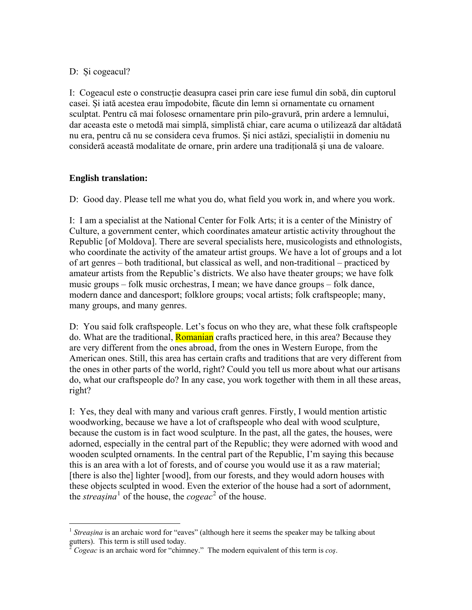## D: Și cogeacul?

I: Cogeacul este o construcție deasupra casei prin care iese fumul din sobă, din cuptorul casei. Și iată acestea erau împodobite, făcute din lemn si ornamentate cu ornament sculptat. Pentru că mai folosesc ornamentare prin pilo-gravură, prin ardere a lemnului, dar aceasta este o metodă mai simplă, simplistă chiar, care acuma o utilizează dar altădată nu era, pentru că nu se considera ceva frumos. Și nici astăzi, specialiștii in domeniu nu consideră această modalitate de ornare, prin ardere una tradițională și una de valoare.

## **English translation:**

D: Good day. Please tell me what you do, what field you work in, and where you work.

I: I am a specialist at the National Center for Folk Arts; it is a center of the Ministry of Culture, a government center, which coordinates amateur artistic activity throughout the Republic [of Moldova]. There are several specialists here, musicologists and ethnologists, who coordinate the activity of the amateur artist groups. We have a lot of groups and a lot of art genres – both traditional, but classical as well, and non-traditional – practiced by amateur artists from the Republic's districts. We also have theater groups; we have folk music groups – folk music orchestras, I mean; we have dance groups – folk dance, modern dance and dancesport; folklore groups; vocal artists; folk craftspeople; many, many groups, and many genres.

D: You said folk craftspeople. Let's focus on who they are, what these folk craftspeople do. What are the traditional, **Romanian** crafts practiced here, in this area? Because they are very different from the ones abroad, from the ones in Western Europe, from the American ones. Still, this area has certain crafts and traditions that are very different from the ones in other parts of the world, right? Could you tell us more about what our artisans do, what our craftspeople do? In any case, you work together with them in all these areas, right?

I: Yes, they deal with many and various craft genres. Firstly, I would mention artistic woodworking, because we have a lot of craftspeople who deal with wood sculpture, because the custom is in fact wood sculpture. In the past, all the gates, the houses, were adorned, especially in the central part of the Republic; they were adorned with wood and wooden sculpted ornaments. In the central part of the Republic, I'm saying this because this is an area with a lot of forests, and of course you would use it as a raw material; [there is also the] lighter [wood], from our forests, and they would adorn houses with these objects sculpted in wood. Even the exterior of the house had a sort of adornment, the *streașina*<sup>[1](#page-1-0)</sup> of the house, the *cogeac*<sup>[2](#page-1-1)</sup> of the house.

<span id="page-1-0"></span> $\overline{a}$ <sup>1</sup> *Streasina* is an archaic word for "eaves" (although here it seems the speaker may be talking about gutters). This term is still used today.

<span id="page-1-1"></span><sup>2</sup> *Cogeac* is an archaic word for "chimney." The modern equivalent of this term is *coş*.